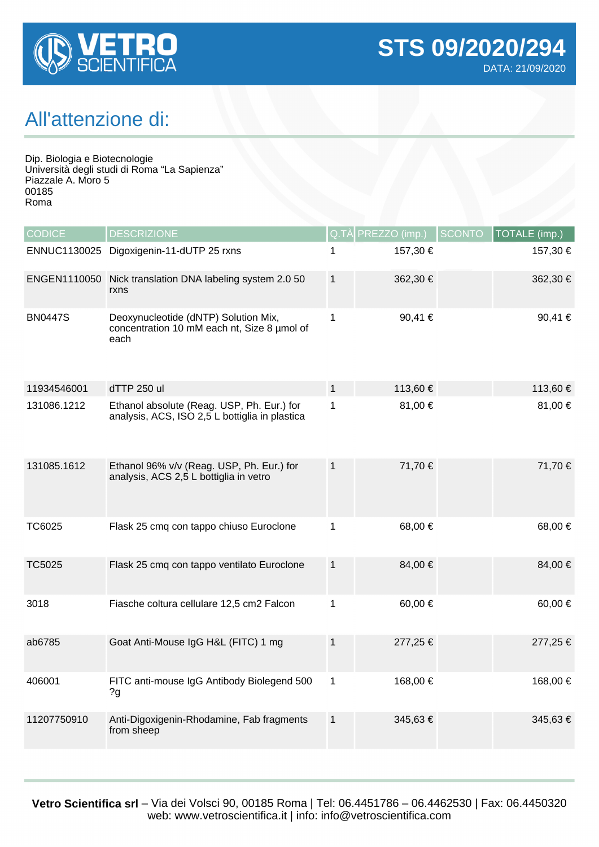

## All'attenzione di:

Dip. Biologia e Biotecnologie Università degli studi di Roma "La Sapienza" Piazzale A. Moro 5 00185 Roma

| <b>CODICE</b>  | <b>DESCRIZIONE</b>                                                                           | Q.TA         | PREZZO (imp.) | <b>SCONTO</b> | TOTALE (imp.) |
|----------------|----------------------------------------------------------------------------------------------|--------------|---------------|---------------|---------------|
| ENNUC1130025   | Digoxigenin-11-dUTP 25 rxns                                                                  | 1            | 157,30 €      |               | 157,30 €      |
| ENGEN1110050   | Nick translation DNA labeling system 2.0 50<br>rxns                                          | $\mathbf{1}$ | 362,30 €      |               | 362,30 €      |
| <b>BN0447S</b> | Deoxynucleotide (dNTP) Solution Mix,<br>concentration 10 mM each nt, Size 8 umol of<br>each  | 1            | 90,41 €       |               | 90,41 €       |
| 11934546001    | dTTP 250 ul                                                                                  | $\mathbf{1}$ | 113,60 €      |               | 113,60 €      |
| 131086.1212    | Ethanol absolute (Reag. USP, Ph. Eur.) for<br>analysis, ACS, ISO 2,5 L bottiglia in plastica | $\mathbf{1}$ | 81,00 €       |               | 81,00 €       |
| 131085.1612    | Ethanol 96% v/v (Reag. USP, Ph. Eur.) for<br>analysis, ACS 2,5 L bottiglia in vetro          | $\mathbf{1}$ | 71,70 €       |               | 71,70 €       |
| TC6025         | Flask 25 cmq con tappo chiuso Euroclone                                                      | 1            | 68,00 €       |               | 68,00 €       |
| <b>TC5025</b>  | Flask 25 cmq con tappo ventilato Euroclone                                                   | $\mathbf{1}$ | 84,00 €       |               | 84,00 €       |
| 3018           | Fiasche coltura cellulare 12,5 cm2 Falcon                                                    | $\mathbf{1}$ | 60,00 €       |               | 60,00 €       |
| ab6785         | Goat Anti-Mouse IgG H&L (FITC) 1 mg                                                          | $\mathbf{1}$ | 277,25 €      |               | 277,25 €      |
| 406001         | FITC anti-mouse IgG Antibody Biolegend 500<br>2g                                             | $\mathbf{1}$ | 168,00 €      |               | 168,00 €      |
| 11207750910    | Anti-Digoxigenin-Rhodamine, Fab fragments<br>from sheep                                      | $\mathbf{1}$ | 345,63€       |               | 345,63 €      |